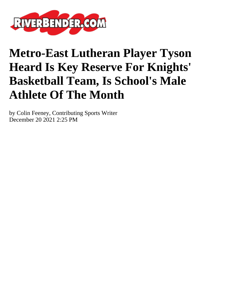

## **Metro-East Lutheran Player Tyson Heard Is Key Reserve For Knights' Basketball Team, Is School's Male Athlete Of The Month**

by Colin Feeney, Contributing Sports Writer December 20 2021 2:25 PM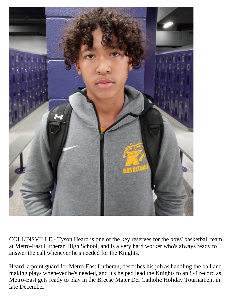

COLLINSVILLE - Tyson Heard is one of the key reserves for the boys' basketball team at Metro-East Lutheran High School, and is a very hard worker who's always ready to answer the call whenever he's needed for the Knights.

Heard, a point guard for Metro-East Lutheran, describes his job as handling the ball and making plays whenever he's needed, and it's helped lead the Knights to an 8-4 record as Metro-East gets ready to play in the Breese Mater Dei Catholic Holiday Tournament in late December.